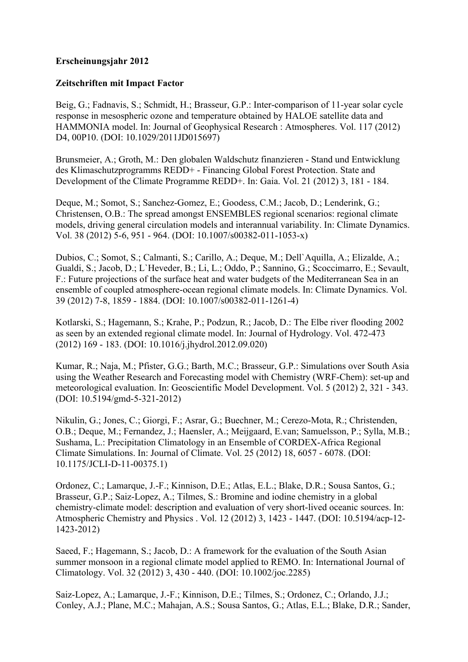## **Erscheinungsjahr 2012**

## **Zeitschriften mit Impact Factor**

Beig, G.; Fadnavis, S.; Schmidt, H.; Brasseur, G.P.: Inter-comparison of 11-year solar cycle response in mesospheric ozone and temperature obtained by HALOE satellite data and HAMMONIA model. In: Journal of Geophysical Research : Atmospheres. Vol. 117 (2012) D4, 00P10. (DOI: 10.1029/2011JD015697)

Brunsmeier, A.; Groth, M.: Den globalen Waldschutz finanzieren - Stand und Entwicklung des Klimaschutzprogramms REDD+ - Financing Global Forest Protection. State and Development of the Climate Programme REDD+. In: Gaia. Vol. 21 (2012) 3, 181 - 184.

Deque, M.; Somot, S.; Sanchez-Gomez, E.; Goodess, C.M.; Jacob, D.; Lenderink, G.; Christensen, O.B.: The spread amongst ENSEMBLES regional scenarios: regional climate models, driving general circulation models and interannual variability. In: Climate Dynamics. Vol. 38 (2012) 5-6, 951 - 964. (DOI: 10.1007/s00382-011-1053-x)

Dubios, C.; Somot, S.; Calmanti, S.; Carillo, A.; Deque, M.; Dell`Aquilla, A.; Elizalde, A.; Gualdi, S.; Jacob, D.; L`Heveder, B.; Li, L.; Oddo, P.; Sannino, G.; Scoccimarro, E.; Sevault, F.: Future projections of the surface heat and water budgets of the Mediterranean Sea in an ensemble of coupled atmosphere-ocean regional climate models. In: Climate Dynamics. Vol. 39 (2012) 7-8, 1859 - 1884. (DOI: 10.1007/s00382-011-1261-4)

Kotlarski, S.; Hagemann, S.; Krahe, P.; Podzun, R.; Jacob, D.: The Elbe river flooding 2002 as seen by an extended regional climate model. In: Journal of Hydrology. Vol. 472-473 (2012) 169 - 183. (DOI: 10.1016/j.jhydrol.2012.09.020)

Kumar, R.; Naja, M.; Pfister, G.G.; Barth, M.C.; Brasseur, G.P.: Simulations over South Asia using the Weather Research and Forecasting model with Chemistry (WRF-Chem): set-up and meteorological evaluation. In: Geoscientific Model Development. Vol. 5 (2012) 2, 321 - 343. (DOI: 10.5194/gmd-5-321-2012)

Nikulin, G.; Jones, C.; Giorgi, F.; Asrar, G.; Buechner, M.; Cerezo-Mota, R.; Christenden, O.B.; Deque, M.; Fernandez, J.; Haensler, A.; Meijgaard, E.van; Samuelsson, P.; Sylla, M.B.; Sushama, L.: Precipitation Climatology in an Ensemble of CORDEX-Africa Regional Climate Simulations. In: Journal of Climate. Vol. 25 (2012) 18, 6057 - 6078. (DOI: 10.1175/JCLI-D-11-00375.1)

Ordonez, C.; Lamarque, J.-F.; Kinnison, D.E.; Atlas, E.L.; Blake, D.R.; Sousa Santos, G.; Brasseur, G.P.; Saiz-Lopez, A.; Tilmes, S.: Bromine and iodine chemistry in a global chemistry-climate model: description and evaluation of very short-lived oceanic sources. In: Atmospheric Chemistry and Physics . Vol. 12 (2012) 3, 1423 - 1447. (DOI: 10.5194/acp-12- 1423-2012)

Saeed, F.; Hagemann, S.; Jacob, D.: A framework for the evaluation of the South Asian summer monsoon in a regional climate model applied to REMO. In: International Journal of Climatology. Vol. 32 (2012) 3, 430 - 440. (DOI: 10.1002/joc.2285)

Saiz-Lopez, A.; Lamarque, J.-F.; Kinnison, D.E.; Tilmes, S.; Ordonez, C.; Orlando, J.J.; Conley, A.J.; Plane, M.C.; Mahajan, A.S.; Sousa Santos, G.; Atlas, E.L.; Blake, D.R.; Sander,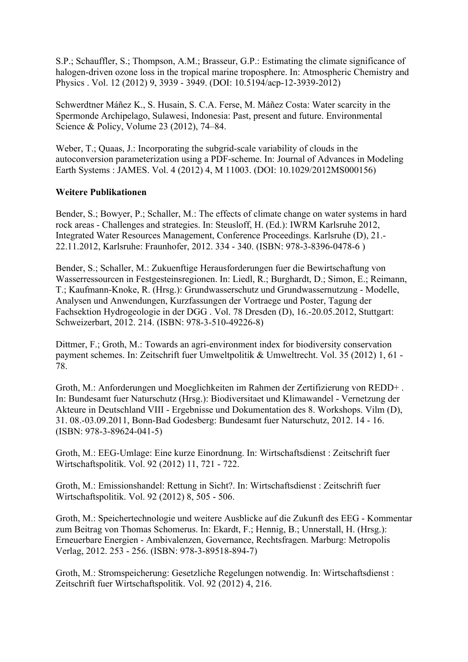S.P.; Schauffler, S.; Thompson, A.M.; Brasseur, G.P.: Estimating the climate significance of halogen-driven ozone loss in the tropical marine troposphere. In: Atmospheric Chemistry and Physics . Vol. 12 (2012) 9, 3939 - 3949. (DOI: 10.5194/acp-12-3939-2012)

Schwerdtner Máñez K., S. Husain, S. C.A. Ferse, M. Máñez Costa: Water scarcity in the Spermonde Archipelago, Sulawesi, Indonesia: Past, present and future. Environmental Science & Policy, Volume 23 (2012), 74–84.

Weber, T.; Quaas, J.; Incorporating the subgrid-scale variability of clouds in the autoconversion parameterization using a PDF-scheme. In: Journal of Advances in Modeling Earth Systems : JAMES. Vol. 4 (2012) 4, M 11003. (DOI: 10.1029/2012MS000156)

## **Weitere Publikationen**

Bender, S.; Bowyer, P.; Schaller, M.: The effects of climate change on water systems in hard rock areas - Challenges and strategies. In: Steusloff, H. (Ed.): IWRM Karlsruhe 2012, Integrated Water Resources Management, Conference Proceedings. Karlsruhe (D), 21.- 22.11.2012, Karlsruhe: Fraunhofer, 2012. 334 - 340. (ISBN: 978-3-8396-0478-6 )

Bender, S.; Schaller, M.: Zukuenftige Herausforderungen fuer die Bewirtschaftung von Wasserressourcen in Festgesteinsregionen. In: Liedl, R.; Burghardt, D.; Simon, E.; Reimann, T.; Kaufmann-Knoke, R. (Hrsg.): Grundwasserschutz und Grundwassernutzung - Modelle, Analysen und Anwendungen, Kurzfassungen der Vortraege und Poster, Tagung der Fachsektion Hydrogeologie in der DGG . Vol. 78 Dresden (D), 16.-20.05.2012, Stuttgart: Schweizerbart, 2012. 214. (ISBN: 978-3-510-49226-8)

Dittmer, F.; Groth, M.: Towards an agri-environment index for biodiversity conservation payment schemes. In: Zeitschrift fuer Umweltpolitik & Umweltrecht. Vol. 35 (2012) 1, 61 - 78.

Groth, M.: Anforderungen und Moeglichkeiten im Rahmen der Zertifizierung von REDD+ . In: Bundesamt fuer Naturschutz (Hrsg.): Biodiversitaet und Klimawandel - Vernetzung der Akteure in Deutschland VIII - Ergebnisse und Dokumentation des 8. Workshops. Vilm (D), 31. 08.-03.09.2011, Bonn-Bad Godesberg: Bundesamt fuer Naturschutz, 2012. 14 - 16. (ISBN: 978-3-89624-041-5)

Groth, M.: EEG-Umlage: Eine kurze Einordnung. In: Wirtschaftsdienst : Zeitschrift fuer Wirtschaftspolitik. Vol. 92 (2012) 11, 721 - 722.

Groth, M.: Emissionshandel: Rettung in Sicht?. In: Wirtschaftsdienst : Zeitschrift fuer Wirtschaftspolitik. Vol. 92 (2012) 8, 505 - 506.

Groth, M.: Speichertechnologie und weitere Ausblicke auf die Zukunft des EEG - Kommentar zum Beitrag von Thomas Schomerus. In: Ekardt, F.; Hennig, B.; Unnerstall, H. (Hrsg.): Erneuerbare Energien - Ambivalenzen, Governance, Rechtsfragen. Marburg: Metropolis Verlag, 2012. 253 - 256. (ISBN: 978-3-89518-894-7)

Groth, M.: Stromspeicherung: Gesetzliche Regelungen notwendig. In: Wirtschaftsdienst : Zeitschrift fuer Wirtschaftspolitik. Vol. 92 (2012) 4, 216.